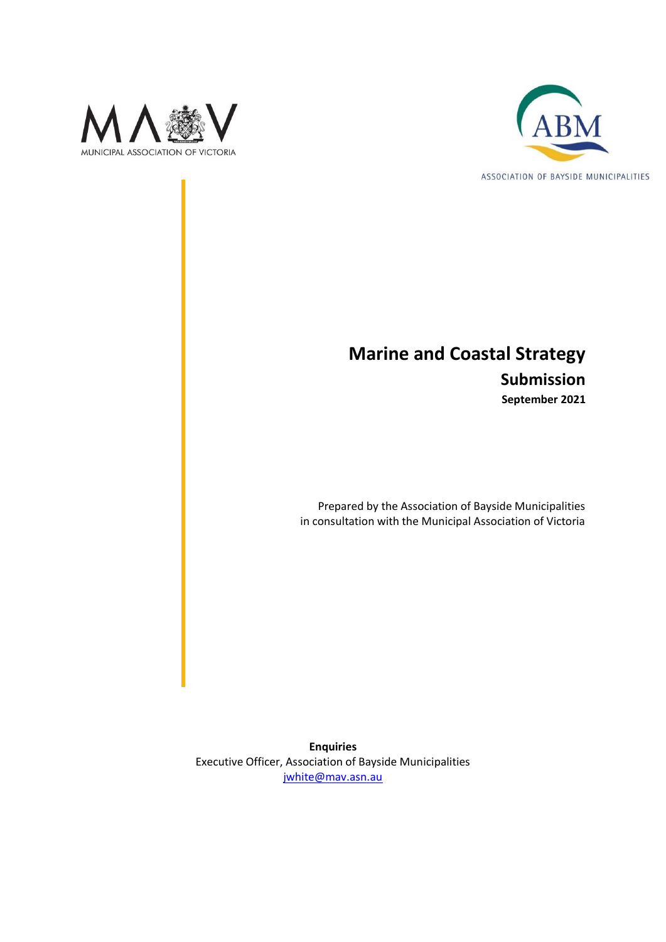



# **Marine and Coastal Strategy Submission September 2021**

Prepared by the Association of Bayside Municipalities in consultation with the Municipal Association of Victoria

**Enquiries** Executive Officer, Association of Bayside Municipalities [jwhite@mav.asn.au](mailto:jwhite@mav.asn.au)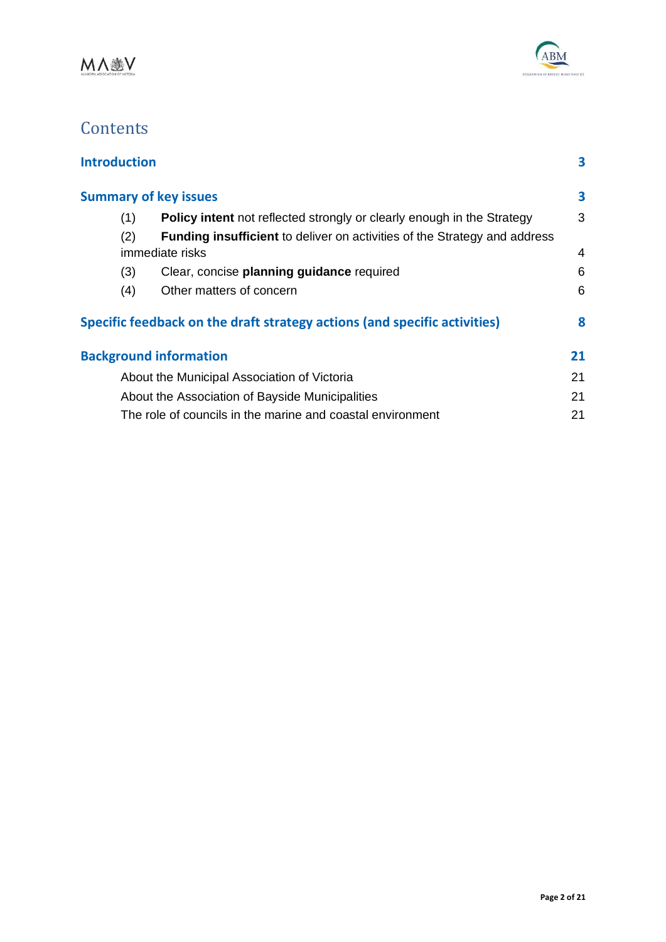



# **Contents**

| <b>Introduction</b> |     |                                                                                  | 3  |
|---------------------|-----|----------------------------------------------------------------------------------|----|
|                     |     | <b>Summary of key issues</b>                                                     | 3  |
|                     | (1) | <b>Policy intent</b> not reflected strongly or clearly enough in the Strategy    | 3  |
|                     | (2) | <b>Funding insufficient</b> to deliver on activities of the Strategy and address |    |
|                     |     | <i>immediate risks</i>                                                           | 4  |
|                     | (3) | Clear, concise planning guidance required                                        | 6  |
|                     | (4) | Other matters of concern                                                         | 6  |
|                     |     | Specific feedback on the draft strategy actions (and specific activities)        | 8  |
|                     |     | <b>Background information</b>                                                    | 21 |
|                     |     | About the Municipal Association of Victoria                                      | 21 |
|                     |     | About the Association of Bayside Municipalities                                  | 21 |
|                     |     | The role of councils in the marine and coastal environment                       | 21 |
|                     |     |                                                                                  |    |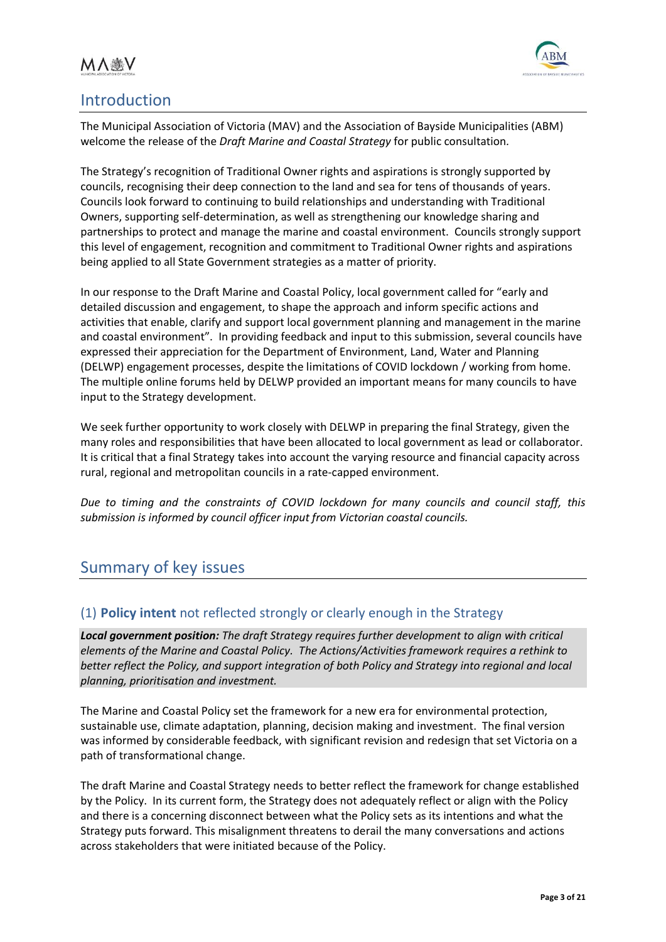



# <span id="page-2-0"></span>Introduction

The Municipal Association of Victoria (MAV) and the Association of Bayside Municipalities (ABM) welcome the release of the *Draft Marine and Coastal Strategy* for public consultation*.*

The Strategy's recognition of Traditional Owner rights and aspirations is strongly supported by councils, recognising their deep connection to the land and sea for tens of thousands of years. Councils look forward to continuing to build relationships and understanding with Traditional Owners, supporting self-determination, as well as strengthening our knowledge sharing and partnerships to protect and manage the marine and coastal environment. Councils strongly support this level of engagement, recognition and commitment to Traditional Owner rights and aspirations being applied to all State Government strategies as a matter of priority.

In our response to the Draft Marine and Coastal Policy, local government called for "early and detailed discussion and engagement, to shape the approach and inform specific actions and activities that enable, clarify and support local government planning and management in the marine and coastal environment". In providing feedback and input to this submission, several councils have expressed their appreciation for the Department of Environment, Land, Water and Planning (DELWP) engagement processes, despite the limitations of COVID lockdown / working from home. The multiple online forums held by DELWP provided an important means for many councils to have input to the Strategy development.

We seek further opportunity to work closely with DELWP in preparing the final Strategy, given the many roles and responsibilities that have been allocated to local government as lead or collaborator. It is critical that a final Strategy takes into account the varying resource and financial capacity across rural, regional and metropolitan councils in a rate-capped environment.

*Due to timing and the constraints of COVID lockdown for many councils and council staff, this submission is informed by council officer input from Victorian coastal councils.* 

# <span id="page-2-1"></span>Summary of key issues

# <span id="page-2-2"></span>(1) **Policy intent** not reflected strongly or clearly enough in the Strategy

*Local government position: The draft Strategy requires further development to align with critical elements of the Marine and Coastal Policy. The Actions/Activities framework requires a rethink to better reflect the Policy, and support integration of both Policy and Strategy into regional and local planning, prioritisation and investment.* 

The Marine and Coastal Policy set the framework for a new era for environmental protection, sustainable use, climate adaptation, planning, decision making and investment. The final version was informed by considerable feedback, with significant revision and redesign that set Victoria on a path of transformational change.

The draft Marine and Coastal Strategy needs to better reflect the framework for change established by the Policy. In its current form, the Strategy does not adequately reflect or align with the Policy and there is a concerning disconnect between what the Policy sets as its intentions and what the Strategy puts forward. This misalignment threatens to derail the many conversations and actions across stakeholders that were initiated because of the Policy.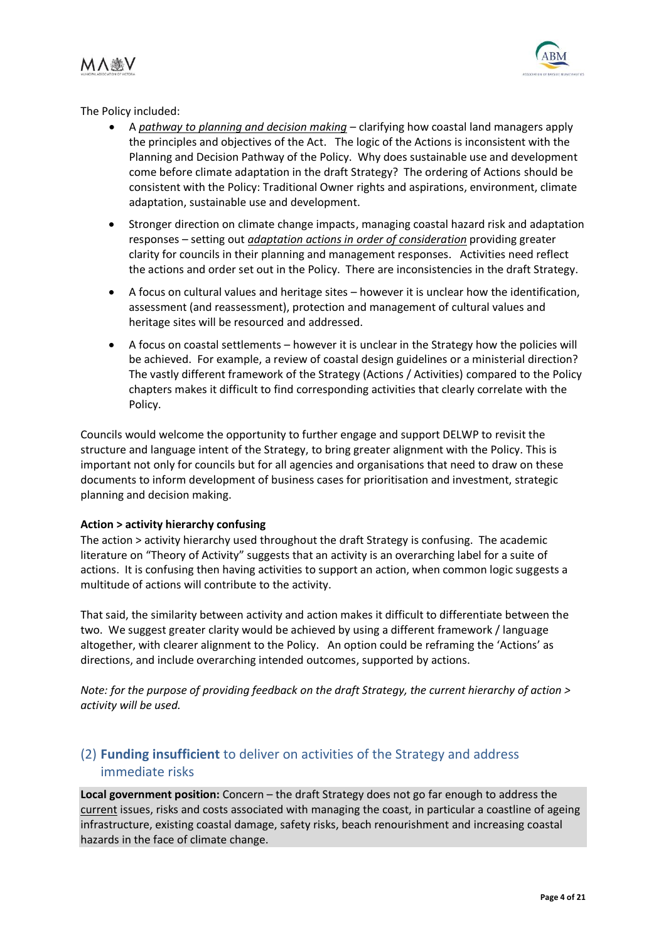MA變V



The Policy included:

- A *pathway to planning and decision making* clarifying how coastal land managers apply the principles and objectives of the Act. The logic of the Actions is inconsistent with the Planning and Decision Pathway of the Policy. Why does sustainable use and development come before climate adaptation in the draft Strategy? The ordering of Actions should be consistent with the Policy: Traditional Owner rights and aspirations, environment, climate adaptation, sustainable use and development.
- Stronger direction on climate change impacts, managing coastal hazard risk and adaptation responses – setting out *adaptation actions in order of consideration* providing greater clarity for councils in their planning and management responses. Activities need reflect the actions and order set out in the Policy. There are inconsistencies in the draft Strategy.
- A focus on cultural values and heritage sites however it is unclear how the identification, assessment (and reassessment), protection and management of cultural values and heritage sites will be resourced and addressed.
- A focus on coastal settlements however it is unclear in the Strategy how the policies will be achieved. For example, a review of coastal design guidelines or a ministerial direction? The vastly different framework of the Strategy (Actions / Activities) compared to the Policy chapters makes it difficult to find corresponding activities that clearly correlate with the Policy.

Councils would welcome the opportunity to further engage and support DELWP to revisit the structure and language intent of the Strategy, to bring greater alignment with the Policy. This is important not only for councils but for all agencies and organisations that need to draw on these documents to inform development of business cases for prioritisation and investment, strategic planning and decision making.

## **Action > activity hierarchy confusing**

The action > activity hierarchy used throughout the draft Strategy is confusing. The academic literature on "Theory of Activity" suggests that an activity is an overarching label for a suite of actions. It is confusing then having activities to support an action, when common logic suggests a multitude of actions will contribute to the activity.

That said, the similarity between activity and action makes it difficult to differentiate between the two. We suggest greater clarity would be achieved by using a different framework / language altogether, with clearer alignment to the Policy. An option could be reframing the 'Actions' as directions, and include overarching intended outcomes, supported by actions.

*Note: for the purpose of providing feedback on the draft Strategy, the current hierarchy of action > activity will be used.* 

# <span id="page-3-0"></span>(2) **Funding insufficient** to deliver on activities of the Strategy and address immediate risks

**Local government position:** Concern – the draft Strategy does not go far enough to address the current issues, risks and costs associated with managing the coast, in particular a coastline of ageing infrastructure, existing coastal damage, safety risks, beach renourishment and increasing coastal hazards in the face of climate change.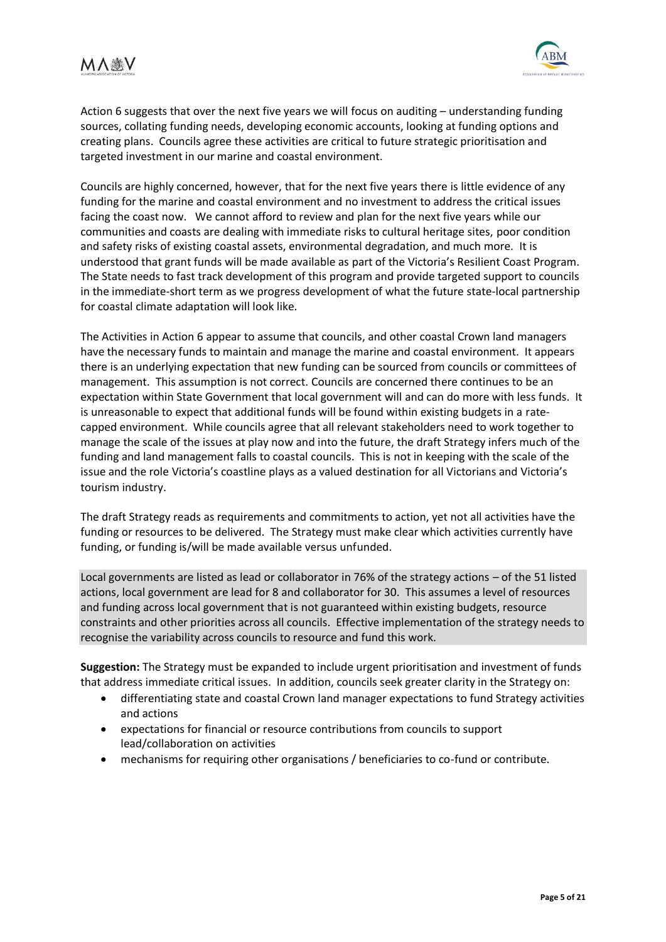# MA變V



Action 6 suggests that over the next five years we will focus on auditing – understanding funding sources, collating funding needs, developing economic accounts, looking at funding options and creating plans. Councils agree these activities are critical to future strategic prioritisation and targeted investment in our marine and coastal environment.

Councils are highly concerned, however, that for the next five years there is little evidence of any funding for the marine and coastal environment and no investment to address the critical issues facing the coast now. We cannot afford to review and plan for the next five years while our communities and coasts are dealing with immediate risks to cultural heritage sites, poor condition and safety risks of existing coastal assets, environmental degradation, and much more. It is understood that grant funds will be made available as part of the Victoria's Resilient Coast Program. The State needs to fast track development of this program and provide targeted support to councils in the immediate-short term as we progress development of what the future state-local partnership for coastal climate adaptation will look like.

The Activities in Action 6 appear to assume that councils, and other coastal Crown land managers have the necessary funds to maintain and manage the marine and coastal environment. It appears there is an underlying expectation that new funding can be sourced from councils or committees of management. This assumption is not correct. Councils are concerned there continues to be an expectation within State Government that local government will and can do more with less funds. It is unreasonable to expect that additional funds will be found within existing budgets in a ratecapped environment. While councils agree that all relevant stakeholders need to work together to manage the scale of the issues at play now and into the future, the draft Strategy infers much of the funding and land management falls to coastal councils. This is not in keeping with the scale of the issue and the role Victoria's coastline plays as a valued destination for all Victorians and Victoria's tourism industry.

The draft Strategy reads as requirements and commitments to action, yet not all activities have the funding or resources to be delivered. The Strategy must make clear which activities currently have funding, or funding is/will be made available versus unfunded.

Local governments are listed as lead or collaborator in 76% of the strategy actions – of the 51 listed actions, local government are lead for 8 and collaborator for 30. This assumes a level of resources and funding across local government that is not guaranteed within existing budgets, resource constraints and other priorities across all councils. Effective implementation of the strategy needs to recognise the variability across councils to resource and fund this work.

**Suggestion:** The Strategy must be expanded to include urgent prioritisation and investment of funds that address immediate critical issues. In addition, councils seek greater clarity in the Strategy on:

- differentiating state and coastal Crown land manager expectations to fund Strategy activities and actions
- expectations for financial or resource contributions from councils to support lead/collaboration on activities
- mechanisms for requiring other organisations / beneficiaries to co-fund or contribute.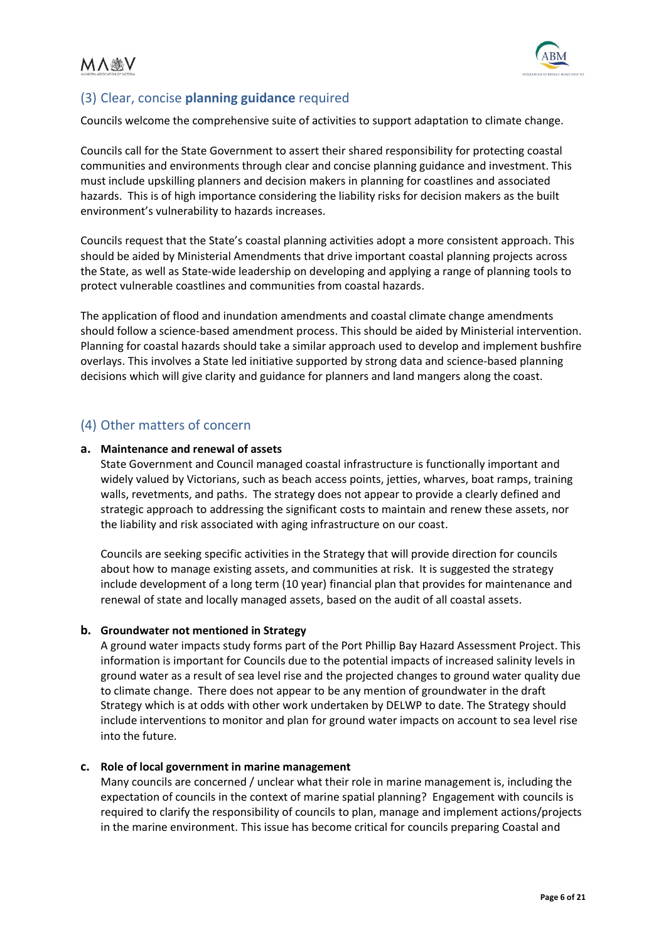

# <span id="page-5-0"></span>(3) Clear, concise **planning guidance** required

Councils welcome the comprehensive suite of activities to support adaptation to climate change.

Councils call for the State Government to assert their shared responsibility for protecting coastal communities and environments through clear and concise planning guidance and investment. This must include upskilling planners and decision makers in planning for coastlines and associated hazards. This is of high importance considering the liability risks for decision makers as the built environment's vulnerability to hazards increases.

Councils request that the State's coastal planning activities adopt a more consistent approach. This should be aided by Ministerial Amendments that drive important coastal planning projects across the State, as well as State-wide leadership on developing and applying a range of planning tools to protect vulnerable coastlines and communities from coastal hazards.

The application of flood and inundation amendments and coastal climate change amendments should follow a science-based amendment process. This should be aided by Ministerial intervention. Planning for coastal hazards should take a similar approach used to develop and implement bushfire overlays. This involves a State led initiative supported by strong data and science-based planning decisions which will give clarity and guidance for planners and land mangers along the coast.

# <span id="page-5-1"></span>(4) Other matters of concern

## **a. Maintenance and renewal of assets**

State Government and Council managed coastal infrastructure is functionally important and widely valued by Victorians, such as beach access points, jetties, wharves, boat ramps, training walls, revetments, and paths. The strategy does not appear to provide a clearly defined and strategic approach to addressing the significant costs to maintain and renew these assets, nor the liability and risk associated with aging infrastructure on our coast.

Councils are seeking specific activities in the Strategy that will provide direction for councils about how to manage existing assets, and communities at risk. It is suggested the strategy include development of a long term (10 year) financial plan that provides for maintenance and renewal of state and locally managed assets, based on the audit of all coastal assets.

## **b. Groundwater not mentioned in Strategy**

A ground water impacts study forms part of the Port Phillip Bay Hazard Assessment Project. This information is important for Councils due to the potential impacts of increased salinity levels in ground water as a result of sea level rise and the projected changes to ground water quality due to climate change. There does not appear to be any mention of groundwater in the draft Strategy which is at odds with other work undertaken by DELWP to date. The Strategy should include interventions to monitor and plan for ground water impacts on account to sea level rise into the future.

## **c. Role of local government in marine management**

Many councils are concerned / unclear what their role in marine management is, including the expectation of councils in the context of marine spatial planning? Engagement with councils is required to clarify the responsibility of councils to plan, manage and implement actions/projects in the marine environment. This issue has become critical for councils preparing Coastal and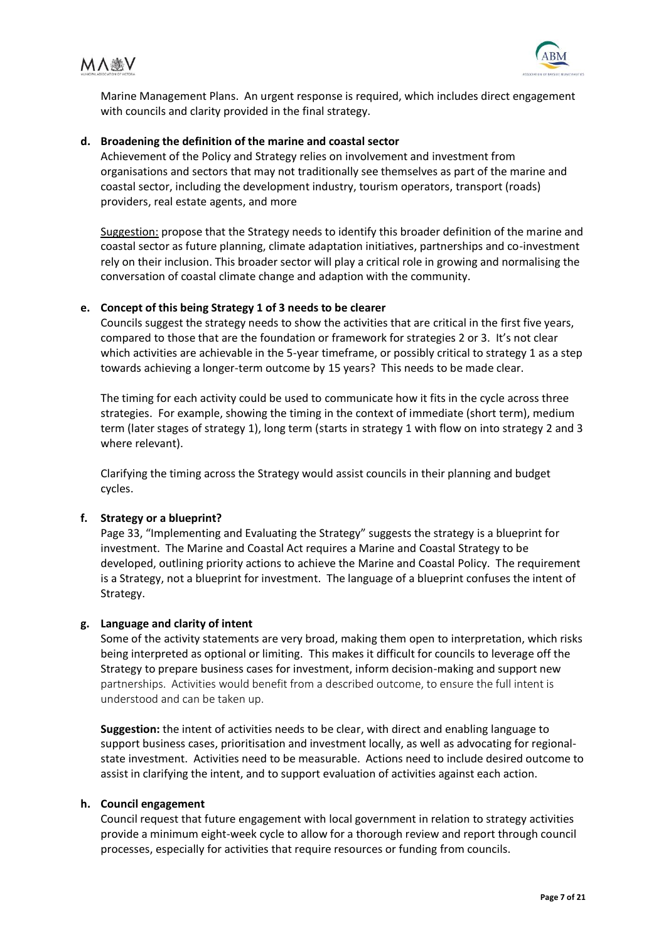



Marine Management Plans. An urgent response is required, which includes direct engagement with councils and clarity provided in the final strategy.

#### **d. Broadening the definition of the marine and coastal sector**

Achievement of the Policy and Strategy relies on involvement and investment from organisations and sectors that may not traditionally see themselves as part of the marine and coastal sector, including the development industry, tourism operators, transport (roads) providers, real estate agents, and more

Suggestion: propose that the Strategy needs to identify this broader definition of the marine and coastal sector as future planning, climate adaptation initiatives, partnerships and co-investment rely on their inclusion. This broader sector will play a critical role in growing and normalising the conversation of coastal climate change and adaption with the community.

### **e. Concept of this being Strategy 1 of 3 needs to be clearer**

Councils suggest the strategy needs to show the activities that are critical in the first five years, compared to those that are the foundation or framework for strategies 2 or 3. It's not clear which activities are achievable in the 5-year timeframe, or possibly critical to strategy 1 as a step towards achieving a longer-term outcome by 15 years? This needs to be made clear.

The timing for each activity could be used to communicate how it fits in the cycle across three strategies. For example, showing the timing in the context of immediate (short term), medium term (later stages of strategy 1), long term (starts in strategy 1 with flow on into strategy 2 and 3 where relevant).

Clarifying the timing across the Strategy would assist councils in their planning and budget cycles.

## **f. Strategy or a blueprint?**

Page 33, "Implementing and Evaluating the Strategy" suggests the strategy is a blueprint for investment. The Marine and Coastal Act requires a Marine and Coastal Strategy to be developed, outlining priority actions to achieve the Marine and Coastal Policy. The requirement is a Strategy, not a blueprint for investment. The language of a blueprint confuses the intent of Strategy.

#### **g. Language and clarity of intent**

Some of the activity statements are very broad, making them open to interpretation, which risks being interpreted as optional or limiting. This makes it difficult for councils to leverage off the Strategy to prepare business cases for investment, inform decision-making and support new partnerships. Activities would benefit from a described outcome, to ensure the full intent is understood and can be taken up.

**Suggestion:** the intent of activities needs to be clear, with direct and enabling language to support business cases, prioritisation and investment locally, as well as advocating for regionalstate investment. Activities need to be measurable. Actions need to include desired outcome to assist in clarifying the intent, and to support evaluation of activities against each action.

#### **h. Council engagement**

Council request that future engagement with local government in relation to strategy activities provide a minimum eight-week cycle to allow for a thorough review and report through council processes, especially for activities that require resources or funding from councils.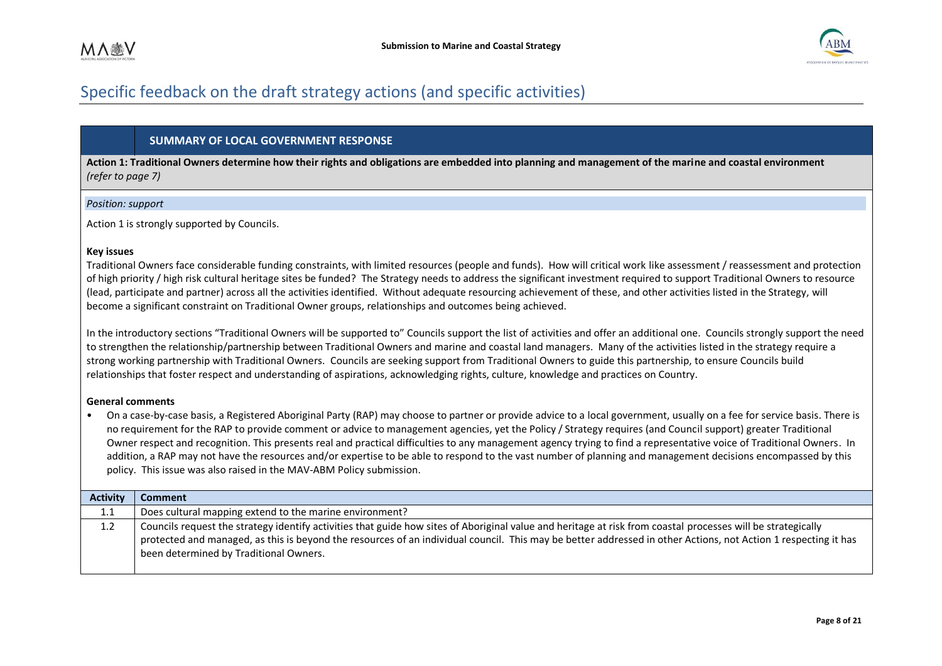

# Specific feedback on the draft strategy actions (and specific activities)

### **SUMMARY OF LOCAL GOVERNMENT RESPONSE**

**Action 1: Traditional Owners determine how their rights and obligations are embedded into planning and management of the marine and coastal environment**  *(refer to page 7)* 

#### *Position: support*

Action 1 is strongly supported by Councils.

#### **Key issues**

Traditional Owners face considerable funding constraints, with limited resources (people and funds). How will critical work like assessment / reassessment and protection of high priority / high risk cultural heritage sites be funded? The Strategy needs to address the significant investment required to support Traditional Owners to resource (lead, participate and partner) across all the activities identified. Without adequate resourcing achievement of these, and other activities listed in the Strategy, will become a significant constraint on Traditional Owner groups, relationships and outcomes being achieved.

<span id="page-7-0"></span>In the introductory sections "Traditional Owners will be supported to" Councils support the list of activities and offer an additional one. Councils strongly support the need to strengthen the relationship/partnership between Traditional Owners and marine and coastal land managers. Many of the activities listed in the strategy require a strong working partnership with Traditional Owners. Councils are seeking support from Traditional Owners to guide this partnership, to ensure Councils build relationships that foster respect and understanding of aspirations, acknowledging rights, culture, knowledge and practices on Country.

#### **General comments**

• On a case-by-case basis, a Registered Aboriginal Party (RAP) may choose to partner or provide advice to a local government, usually on a fee for service basis. There is no requirement for the RAP to provide comment or advice to management agencies, yet the Policy / Strategy requires (and Council support) greater Traditional Owner respect and recognition. This presents real and practical difficulties to any management agency trying to find a representative voice of Traditional Owners. In addition, a RAP may not have the resources and/or expertise to be able to respond to the vast number of planning and management decisions encompassed by this policy. This issue was also raised in the MAV-ABM Policy submission.

| <b>Activity</b>  | Comment                                                                                                                                                                                                                                                                                                                                                                  |
|------------------|--------------------------------------------------------------------------------------------------------------------------------------------------------------------------------------------------------------------------------------------------------------------------------------------------------------------------------------------------------------------------|
| 1.1              | Does cultural mapping extend to the marine environment?                                                                                                                                                                                                                                                                                                                  |
| 1.2 <sub>2</sub> | Councils request the strategy identify activities that guide how sites of Aboriginal value and heritage at risk from coastal processes will be strategically<br>protected and managed, as this is beyond the resources of an individual council. This may be better addressed in other Actions, not Action 1 respecting it has<br>been determined by Traditional Owners. |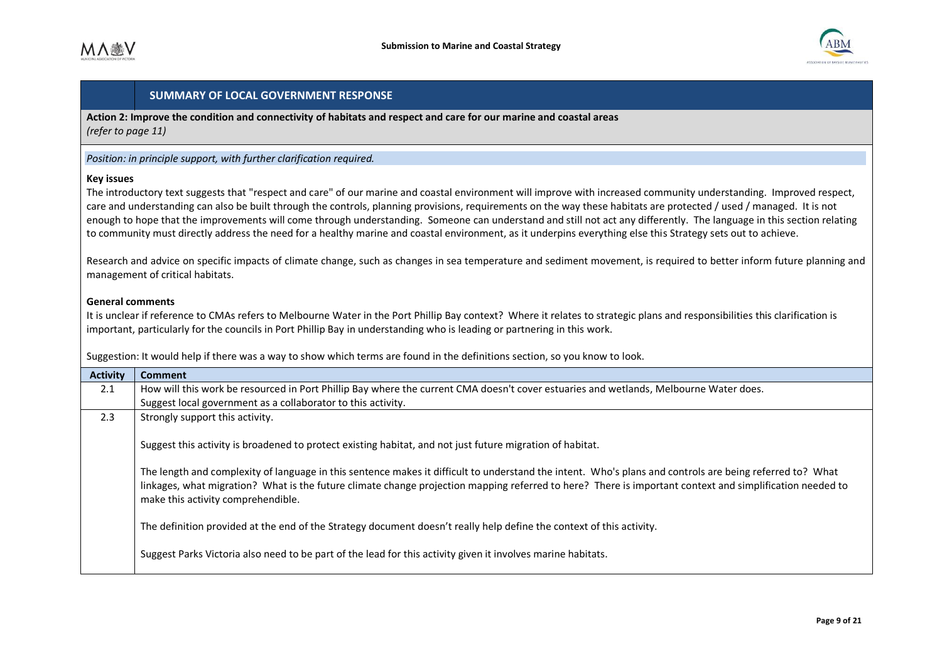

**Action 2: Improve the condition and connectivity of habitats and respect and care for our marine and coastal areas**  *(refer to page 11)* 

#### *Position: in principle support, with further clarification required.*

#### **Key issues**

The introductory text suggests that "respect and care" of our marine and coastal environment will improve with increased community understanding. Improved respect, care and understanding can also be built through the controls, planning provisions, requirements on the way these habitats are protected / used / managed. It is not enough to hope that the improvements will come through understanding. Someone can understand and still not act any differently. The language in this section relating to community must directly address the need for a healthy marine and coastal environment, as it underpins everything else this Strategy sets out to achieve.

Research and advice on specific impacts of climate change, such as changes in sea temperature and sediment movement, is required to better inform future planning and management of critical habitats.

#### **General comments**

It is unclear if reference to CMAs refers to Melbourne Water in the Port Phillip Bay context? Where it relates to strategic plans and responsibilities this clarification is important, particularly for the councils in Port Phillip Bay in understanding who is leading or partnering in this work.

Suggestion: It would help if there was a way to show which terms are found in the definitions section, so you know to look.

| <b>Activity</b> | <b>Comment</b>                                                                                                                                                                                                                                                                                                                                             |
|-----------------|------------------------------------------------------------------------------------------------------------------------------------------------------------------------------------------------------------------------------------------------------------------------------------------------------------------------------------------------------------|
| 2.1             | How will this work be resourced in Port Phillip Bay where the current CMA doesn't cover estuaries and wetlands, Melbourne Water does.                                                                                                                                                                                                                      |
|                 | Suggest local government as a collaborator to this activity.                                                                                                                                                                                                                                                                                               |
| 2.3             | Strongly support this activity.                                                                                                                                                                                                                                                                                                                            |
|                 | Suggest this activity is broadened to protect existing habitat, and not just future migration of habitat.                                                                                                                                                                                                                                                  |
|                 | The length and complexity of language in this sentence makes it difficult to understand the intent. Who's plans and controls are being referred to? What<br>linkages, what migration? What is the future climate change projection mapping referred to here? There is important context and simplification needed to<br>make this activity comprehendible. |
|                 | The definition provided at the end of the Strategy document doesn't really help define the context of this activity.                                                                                                                                                                                                                                       |
|                 | Suggest Parks Victoria also need to be part of the lead for this activity given it involves marine habitats.                                                                                                                                                                                                                                               |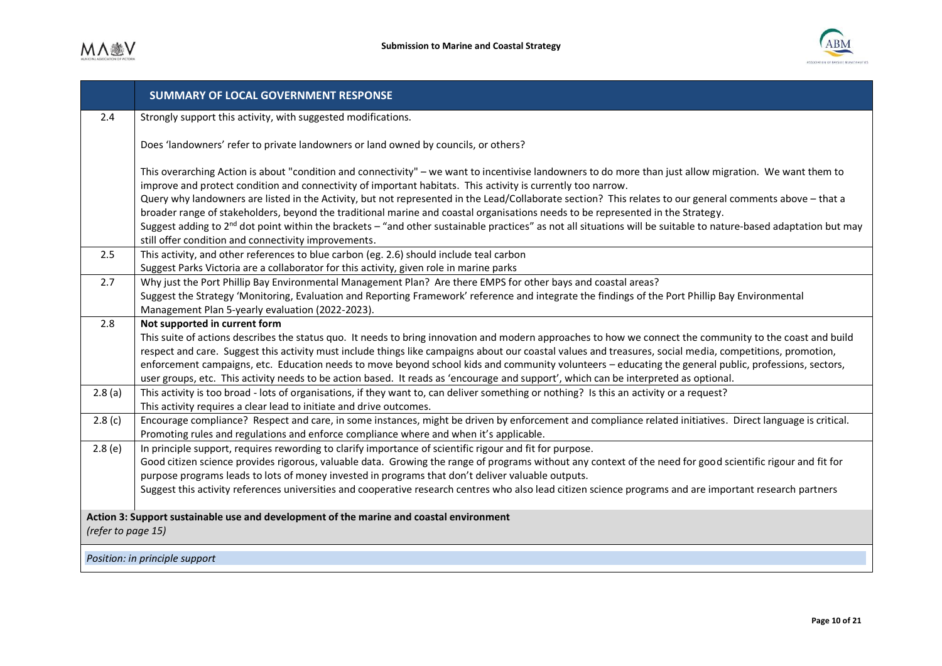

|                                                                                                               | <b>SUMMARY OF LOCAL GOVERNMENT RESPONSE</b>                                                                                                                                                                                                                                                                                                                                                                                                                                                                                                                                                                                                                                                                                                                                                                      |
|---------------------------------------------------------------------------------------------------------------|------------------------------------------------------------------------------------------------------------------------------------------------------------------------------------------------------------------------------------------------------------------------------------------------------------------------------------------------------------------------------------------------------------------------------------------------------------------------------------------------------------------------------------------------------------------------------------------------------------------------------------------------------------------------------------------------------------------------------------------------------------------------------------------------------------------|
| 2.4                                                                                                           | Strongly support this activity, with suggested modifications.                                                                                                                                                                                                                                                                                                                                                                                                                                                                                                                                                                                                                                                                                                                                                    |
|                                                                                                               | Does 'landowners' refer to private landowners or land owned by councils, or others?                                                                                                                                                                                                                                                                                                                                                                                                                                                                                                                                                                                                                                                                                                                              |
|                                                                                                               | This overarching Action is about "condition and connectivity" - we want to incentivise landowners to do more than just allow migration. We want them to<br>improve and protect condition and connectivity of important habitats. This activity is currently too narrow.<br>Query why landowners are listed in the Activity, but not represented in the Lead/Collaborate section? This relates to our general comments above - that a<br>broader range of stakeholders, beyond the traditional marine and coastal organisations needs to be represented in the Strategy.<br>Suggest adding to 2 <sup>nd</sup> dot point within the brackets - "and other sustainable practices" as not all situations will be suitable to nature-based adaptation but may<br>still offer condition and connectivity improvements. |
| 2.5                                                                                                           | This activity, and other references to blue carbon (eg. 2.6) should include teal carbon                                                                                                                                                                                                                                                                                                                                                                                                                                                                                                                                                                                                                                                                                                                          |
| 2.7                                                                                                           | Suggest Parks Victoria are a collaborator for this activity, given role in marine parks<br>Why just the Port Phillip Bay Environmental Management Plan? Are there EMPS for other bays and coastal areas?<br>Suggest the Strategy 'Monitoring, Evaluation and Reporting Framework' reference and integrate the findings of the Port Phillip Bay Environmental<br>Management Plan 5-yearly evaluation (2022-2023).                                                                                                                                                                                                                                                                                                                                                                                                 |
| 2.8                                                                                                           | Not supported in current form<br>This suite of actions describes the status quo. It needs to bring innovation and modern approaches to how we connect the community to the coast and build<br>respect and care. Suggest this activity must include things like campaigns about our coastal values and treasures, social media, competitions, promotion,                                                                                                                                                                                                                                                                                                                                                                                                                                                          |
|                                                                                                               | enforcement campaigns, etc. Education needs to move beyond school kids and community volunteers - educating the general public, professions, sectors,<br>user groups, etc. This activity needs to be action based. It reads as 'encourage and support', which can be interpreted as optional.                                                                                                                                                                                                                                                                                                                                                                                                                                                                                                                    |
| 2.8(a)                                                                                                        | This activity is too broad - lots of organisations, if they want to, can deliver something or nothing? Is this an activity or a request?<br>This activity requires a clear lead to initiate and drive outcomes.                                                                                                                                                                                                                                                                                                                                                                                                                                                                                                                                                                                                  |
| 2.8(c)                                                                                                        | Encourage compliance? Respect and care, in some instances, might be driven by enforcement and compliance related initiatives. Direct language is critical.<br>Promoting rules and regulations and enforce compliance where and when it's applicable.                                                                                                                                                                                                                                                                                                                                                                                                                                                                                                                                                             |
| 2.8(e)                                                                                                        | In principle support, requires rewording to clarify importance of scientific rigour and fit for purpose.<br>Good citizen science provides rigorous, valuable data. Growing the range of programs without any context of the need for good scientific rigour and fit for<br>purpose programs leads to lots of money invested in programs that don't deliver valuable outputs.<br>Suggest this activity references universities and cooperative research centres who also lead citizen science programs and are important research partners                                                                                                                                                                                                                                                                        |
| Action 3: Support sustainable use and development of the marine and coastal environment<br>(refer to page 15) |                                                                                                                                                                                                                                                                                                                                                                                                                                                                                                                                                                                                                                                                                                                                                                                                                  |
| Position: in principle support                                                                                |                                                                                                                                                                                                                                                                                                                                                                                                                                                                                                                                                                                                                                                                                                                                                                                                                  |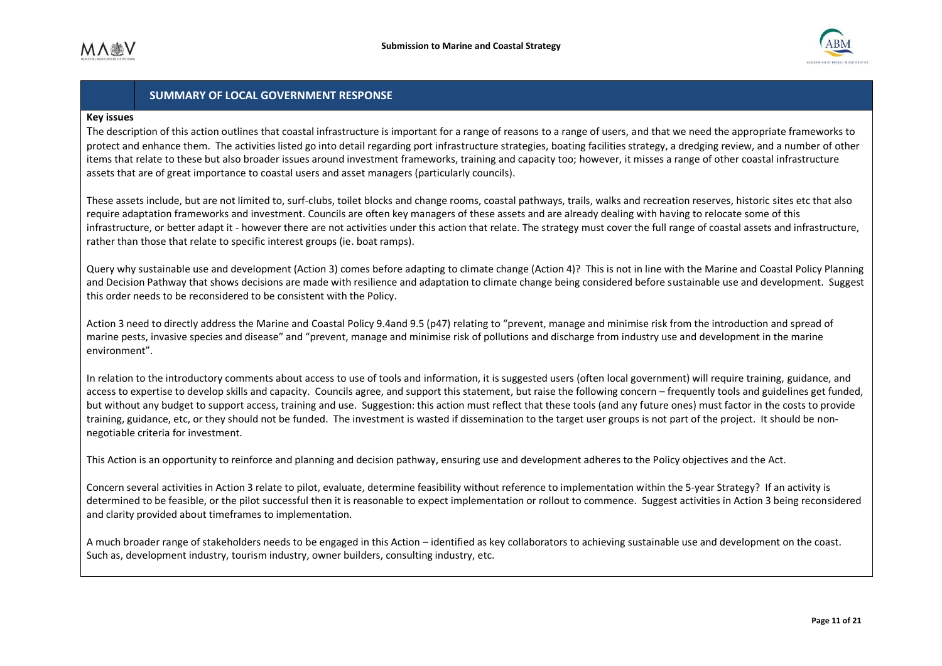

#### **Key issues**

The description of this action outlines that coastal infrastructure is important for a range of reasons to a range of users, and that we need the appropriate frameworks to protect and enhance them. The activities listed go into detail regarding port infrastructure strategies, boating facilities strategy, a dredging review, and a number of other items that relate to these but also broader issues around investment frameworks, training and capacity too; however, it misses a range of other coastal infrastructure assets that are of great importance to coastal users and asset managers (particularly councils).

These assets include, but are not limited to, surf-clubs, toilet blocks and change rooms, coastal pathways, trails, walks and recreation reserves, historic sites etc that also require adaptation frameworks and investment. Councils are often key managers of these assets and are already dealing with having to relocate some of this infrastructure, or better adapt it - however there are not activities under this action that relate. The strategy must cover the full range of coastal assets and infrastructure, rather than those that relate to specific interest groups (ie. boat ramps).

Query why sustainable use and development (Action 3) comes before adapting to climate change (Action 4)? This is not in line with the Marine and Coastal Policy Planning and Decision Pathway that shows decisions are made with resilience and adaptation to climate change being considered before sustainable use and development. Suggest this order needs to be reconsidered to be consistent with the Policy.

Action 3 need to directly address the Marine and Coastal Policy 9.4and 9.5 (p47) relating to "prevent, manage and minimise risk from the introduction and spread of marine pests, invasive species and disease" and "prevent, manage and minimise risk of pollutions and discharge from industry use and development in the marine environment".

In relation to the introductory comments about access to use of tools and information, it is suggested users (often local government) will require training, guidance, and access to expertise to develop skills and capacity. Councils agree, and support this statement, but raise the following concern – frequently tools and guidelines get funded, but without any budget to support access, training and use. Suggestion: this action must reflect that these tools (and any future ones) must factor in the costs to provide training, guidance, etc, or they should not be funded. The investment is wasted if dissemination to the target user groups is not part of the project. It should be nonnegotiable criteria for investment.

This Action is an opportunity to reinforce and planning and decision pathway, ensuring use and development adheres to the Policy objectives and the Act.

Concern several activities in Action 3 relate to pilot, evaluate, determine feasibility without reference to implementation within the 5-year Strategy? If an activity is determined to be feasible, or the pilot successful then it is reasonable to expect implementation or rollout to commence. Suggest activities in Action 3 being reconsidered and clarity provided about timeframes to implementation.

A much broader range of stakeholders needs to be engaged in this Action – identified as key collaborators to achieving sustainable use and development on the coast. Such as, development industry, tourism industry, owner builders, consulting industry, etc.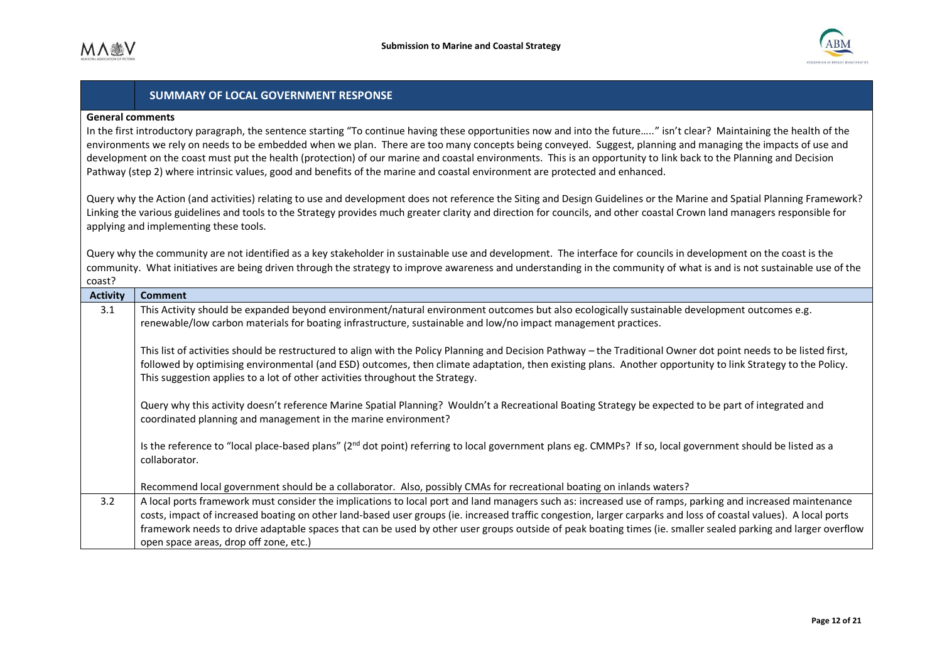

#### **General comments**

In the first introductory paragraph, the sentence starting "To continue having these opportunities now and into the future….." isn't clear? Maintaining the health of the environments we rely on needs to be embedded when we plan. There are too many concepts being conveyed. Suggest, planning and managing the impacts of use and development on the coast must put the health (protection) of our marine and coastal environments. This is an opportunity to link back to the Planning and Decision Pathway (step 2) where intrinsic values, good and benefits of the marine and coastal environment are protected and enhanced.

Query why the Action (and activities) relating to use and development does not reference the Siting and Design Guidelines or the Marine and Spatial Planning Framework? Linking the various guidelines and tools to the Strategy provides much greater clarity and direction for councils, and other coastal Crown land managers responsible for applying and implementing these tools.

Query why the community are not identified as a key stakeholder in sustainable use and development. The interface for councils in development on the coast is the community. What initiatives are being driven through the strategy to improve awareness and understanding in the community of what is and is not sustainable use of the coast?

| <b>Activity</b> | <b>Comment</b>                                                                                                                                                                                                                                                                                                                                                                                                                                                                                                                           |
|-----------------|------------------------------------------------------------------------------------------------------------------------------------------------------------------------------------------------------------------------------------------------------------------------------------------------------------------------------------------------------------------------------------------------------------------------------------------------------------------------------------------------------------------------------------------|
| 3.1             | This Activity should be expanded beyond environment/natural environment outcomes but also ecologically sustainable development outcomes e.g.<br>renewable/low carbon materials for boating infrastructure, sustainable and low/no impact management practices.                                                                                                                                                                                                                                                                           |
|                 | This list of activities should be restructured to align with the Policy Planning and Decision Pathway - the Traditional Owner dot point needs to be listed first,<br>followed by optimising environmental (and ESD) outcomes, then climate adaptation, then existing plans. Another opportunity to link Strategy to the Policy.<br>This suggestion applies to a lot of other activities throughout the Strategy.                                                                                                                         |
|                 | Query why this activity doesn't reference Marine Spatial Planning? Wouldn't a Recreational Boating Strategy be expected to be part of integrated and<br>coordinated planning and management in the marine environment?                                                                                                                                                                                                                                                                                                                   |
|                 | Is the reference to "local place-based plans" (2 <sup>nd</sup> dot point) referring to local government plans eg. CMMPs? If so, local government should be listed as a<br>collaborator.                                                                                                                                                                                                                                                                                                                                                  |
|                 | Recommend local government should be a collaborator. Also, possibly CMAs for recreational boating on inlands waters?                                                                                                                                                                                                                                                                                                                                                                                                                     |
| 3.2             | A local ports framework must consider the implications to local port and land managers such as: increased use of ramps, parking and increased maintenance<br>costs, impact of increased boating on other land-based user groups (ie. increased traffic congestion, larger carparks and loss of coastal values). A local ports<br>framework needs to drive adaptable spaces that can be used by other user groups outside of peak boating times (ie. smaller sealed parking and larger overflow<br>open space areas, drop off zone, etc.) |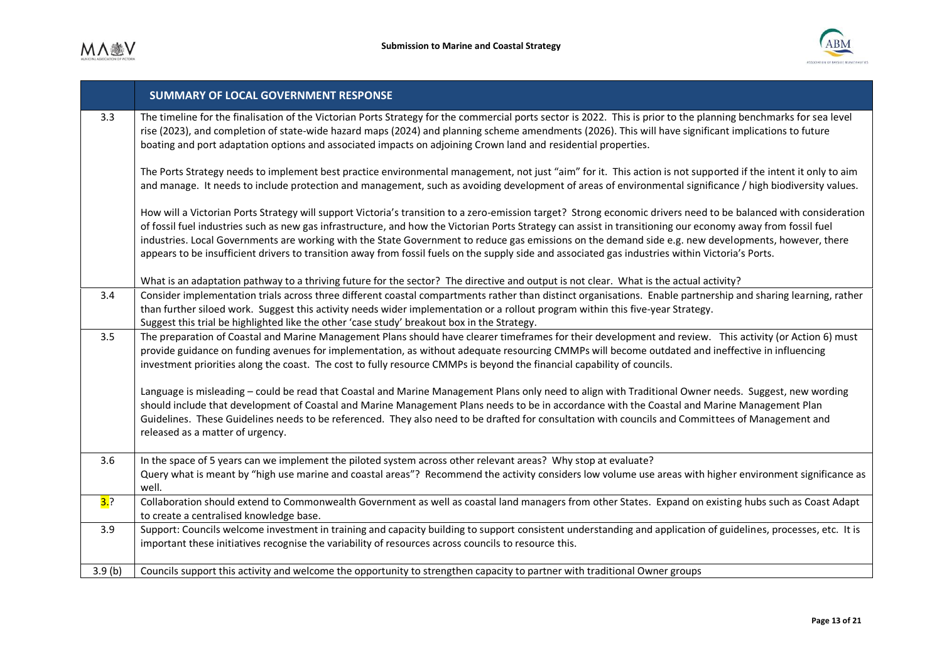

|        | <b>SUMMARY OF LOCAL GOVERNMENT RESPONSE</b>                                                                                                                                                                                                                                                                                                                                                                                                                                                                                                                                                                                                   |
|--------|-----------------------------------------------------------------------------------------------------------------------------------------------------------------------------------------------------------------------------------------------------------------------------------------------------------------------------------------------------------------------------------------------------------------------------------------------------------------------------------------------------------------------------------------------------------------------------------------------------------------------------------------------|
| 3.3    | The timeline for the finalisation of the Victorian Ports Strategy for the commercial ports sector is 2022. This is prior to the planning benchmarks for sea level<br>rise (2023), and completion of state-wide hazard maps (2024) and planning scheme amendments (2026). This will have significant implications to future<br>boating and port adaptation options and associated impacts on adjoining Crown land and residential properties.                                                                                                                                                                                                  |
|        | The Ports Strategy needs to implement best practice environmental management, not just "aim" for it. This action is not supported if the intent it only to aim<br>and manage. It needs to include protection and management, such as avoiding development of areas of environmental significance / high biodiversity values.                                                                                                                                                                                                                                                                                                                  |
|        | How will a Victorian Ports Strategy will support Victoria's transition to a zero-emission target? Strong economic drivers need to be balanced with consideration<br>of fossil fuel industries such as new gas infrastructure, and how the Victorian Ports Strategy can assist in transitioning our economy away from fossil fuel<br>industries. Local Governments are working with the State Government to reduce gas emissions on the demand side e.g. new developments, however, there<br>appears to be insufficient drivers to transition away from fossil fuels on the supply side and associated gas industries within Victoria's Ports. |
|        | What is an adaptation pathway to a thriving future for the sector? The directive and output is not clear. What is the actual activity?                                                                                                                                                                                                                                                                                                                                                                                                                                                                                                        |
| 3.4    | Consider implementation trials across three different coastal compartments rather than distinct organisations. Enable partnership and sharing learning, rather<br>than further siloed work. Suggest this activity needs wider implementation or a rollout program within this five-year Strategy.<br>Suggest this trial be highlighted like the other 'case study' breakout box in the Strategy.                                                                                                                                                                                                                                              |
| 3.5    | The preparation of Coastal and Marine Management Plans should have clearer timeframes for their development and review. This activity (or Action 6) must<br>provide guidance on funding avenues for implementation, as without adequate resourcing CMMPs will become outdated and ineffective in influencing<br>investment priorities along the coast. The cost to fully resource CMMPs is beyond the financial capability of councils.                                                                                                                                                                                                       |
|        | Language is misleading - could be read that Coastal and Marine Management Plans only need to align with Traditional Owner needs. Suggest, new wording<br>should include that development of Coastal and Marine Management Plans needs to be in accordance with the Coastal and Marine Management Plan<br>Guidelines. These Guidelines needs to be referenced. They also need to be drafted for consultation with councils and Committees of Management and<br>released as a matter of urgency.                                                                                                                                                |
| 3.6    | In the space of 5 years can we implement the piloted system across other relevant areas? Why stop at evaluate?<br>Query what is meant by "high use marine and coastal areas"? Recommend the activity considers low volume use areas with higher environment significance as<br>well.                                                                                                                                                                                                                                                                                                                                                          |
| 3.?    | Collaboration should extend to Commonwealth Government as well as coastal land managers from other States. Expand on existing hubs such as Coast Adapt<br>to create a centralised knowledge base.                                                                                                                                                                                                                                                                                                                                                                                                                                             |
| 3.9    | Support: Councils welcome investment in training and capacity building to support consistent understanding and application of guidelines, processes, etc. It is<br>important these initiatives recognise the variability of resources across councils to resource this.                                                                                                                                                                                                                                                                                                                                                                       |
| 3.9(b) | Councils support this activity and welcome the opportunity to strengthen capacity to partner with traditional Owner groups                                                                                                                                                                                                                                                                                                                                                                                                                                                                                                                    |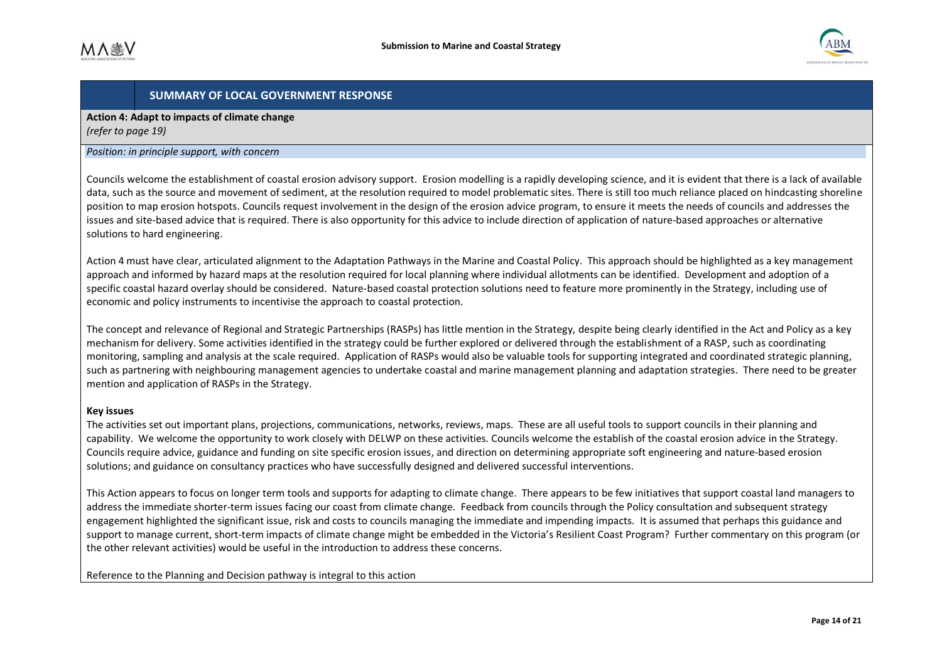

**Action 4: Adapt to impacts of climate change**  *(refer to page 19)* 

#### *Position: in principle support, with concern*

Councils welcome the establishment of coastal erosion advisory support. Erosion modelling is a rapidly developing science, and it is evident that there is a lack of available data, such as the source and movement of sediment, at the resolution required to model problematic sites. There is still too much reliance placed on hindcasting shoreline position to map erosion hotspots. Councils request involvement in the design of the erosion advice program, to ensure it meets the needs of councils and addresses the issues and site-based advice that is required. There is also opportunity for this advice to include direction of application of nature-based approaches or alternative solutions to hard engineering.

Action 4 must have clear, articulated alignment to the Adaptation Pathways in the Marine and Coastal Policy. This approach should be highlighted as a key management approach and informed by hazard maps at the resolution required for local planning where individual allotments can be identified. Development and adoption of a specific coastal hazard overlay should be considered. Nature-based coastal protection solutions need to feature more prominently in the Strategy, including use of economic and policy instruments to incentivise the approach to coastal protection.

The concept and relevance of Regional and Strategic Partnerships (RASPs) has little mention in the Strategy, despite being clearly identified in the Act and Policy as a key mechanism for delivery. Some activities identified in the strategy could be further explored or delivered through the establishment of a RASP, such as coordinating monitoring, sampling and analysis at the scale required. Application of RASPs would also be valuable tools for supporting integrated and coordinated strategic planning, such as partnering with neighbouring management agencies to undertake coastal and marine management planning and adaptation strategies. There need to be greater mention and application of RASPs in the Strategy.

#### **Key issues**

The activities set out important plans, projections, communications, networks, reviews, maps. These are all useful tools to support councils in their planning and capability. We welcome the opportunity to work closely with DELWP on these activities. Councils welcome the establish of the coastal erosion advice in the Strategy. Councils require advice, guidance and funding on site specific erosion issues, and direction on determining appropriate soft engineering and nature-based erosion solutions; and guidance on consultancy practices who have successfully designed and delivered successful interventions.

This Action appears to focus on longer term tools and supports for adapting to climate change. There appears to be few initiatives that support coastal land managers to address the immediate shorter-term issues facing our coast from climate change. Feedback from councils through the Policy consultation and subsequent strategy engagement highlighted the significant issue, risk and costs to councils managing the immediate and impending impacts. It is assumed that perhaps this guidance and support to manage current, short-term impacts of climate change might be embedded in the Victoria's Resilient Coast Program? Further commentary on this program (or the other relevant activities) would be useful in the introduction to address these concerns.

Reference to the Planning and Decision pathway is integral to this action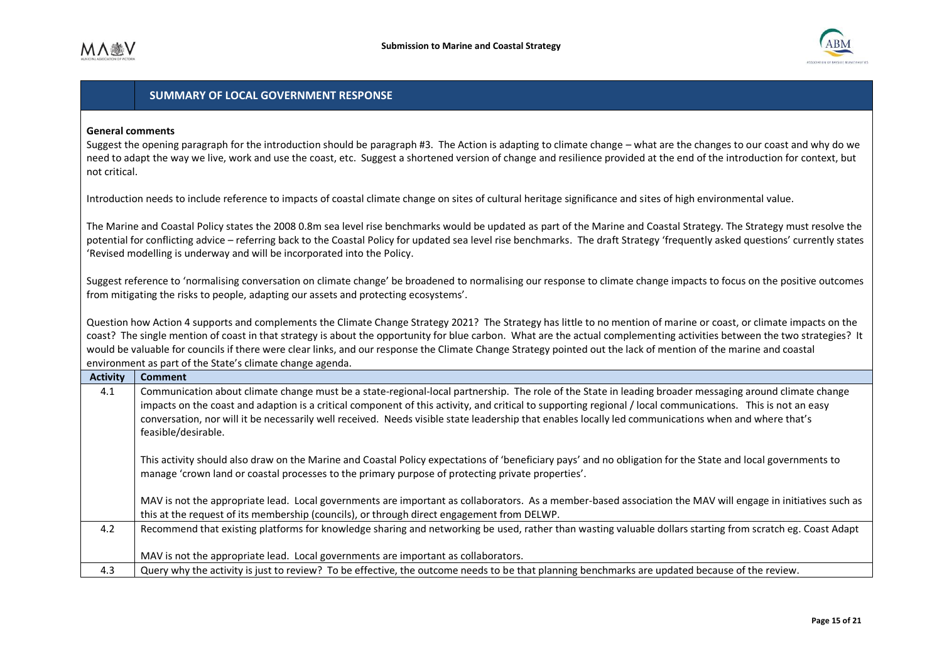

#### **General comments**

Suggest the opening paragraph for the introduction should be paragraph #3. The Action is adapting to climate change – what are the changes to our coast and why do we need to adapt the way we live, work and use the coast, etc. Suggest a shortened version of change and resilience provided at the end of the introduction for context, but not critical.

Introduction needs to include reference to impacts of coastal climate change on sites of cultural heritage significance and sites of high environmental value.

The Marine and Coastal Policy states the 2008 0.8m sea level rise benchmarks would be updated as part of the Marine and Coastal Strategy. The Strategy must resolve the potential for conflicting advice - referring back to the Coastal Policy for updated sea level rise benchmarks. The draft Strategy 'frequently asked questions' currently states 'Revised modelling is underway and will be incorporated into the Policy.

Suggest reference to 'normalising conversation on climate change' be broadened to normalising our response to climate change impacts to focus on the positive outcomes from mitigating the risks to people, adapting our assets and protecting ecosystems'.

Question how Action 4 supports and complements the Climate Change Strategy 2021? The Strategy has little to no mention of marine or coast, or climate impacts on the coast? The single mention of coast in that strategy is about the opportunity for blue carbon. What are the actual complementing activities between the two strategies? It would be valuable for councils if there were clear links, and our response the Climate Change Strategy pointed out the lack of mention of the marine and coastal environment as part of the State's climate change agenda.

| <b>Activity</b> | <b>Comment</b>                                                                                                                                                                                                                                                                                                                                                                                                                                                                                        |
|-----------------|-------------------------------------------------------------------------------------------------------------------------------------------------------------------------------------------------------------------------------------------------------------------------------------------------------------------------------------------------------------------------------------------------------------------------------------------------------------------------------------------------------|
| 4.1             | Communication about climate change must be a state-regional-local partnership. The role of the State in leading broader messaging around climate change<br>impacts on the coast and adaption is a critical component of this activity, and critical to supporting regional / local communications. This is not an easy<br>conversation, nor will it be necessarily well received. Needs visible state leadership that enables locally led communications when and where that's<br>feasible/desirable. |
|                 | This activity should also draw on the Marine and Coastal Policy expectations of 'beneficiary pays' and no obligation for the State and local governments to<br>manage 'crown land or coastal processes to the primary purpose of protecting private properties'.                                                                                                                                                                                                                                      |
|                 | MAV is not the appropriate lead. Local governments are important as collaborators. As a member-based association the MAV will engage in initiatives such as<br>this at the request of its membership (councils), or through direct engagement from DELWP.                                                                                                                                                                                                                                             |
| 4.2             | Recommend that existing platforms for knowledge sharing and networking be used, rather than wasting valuable dollars starting from scratch eg. Coast Adapt                                                                                                                                                                                                                                                                                                                                            |
|                 | MAV is not the appropriate lead. Local governments are important as collaborators.                                                                                                                                                                                                                                                                                                                                                                                                                    |
| 4.3             | Query why the activity is just to review? To be effective, the outcome needs to be that planning benchmarks are updated because of the review.                                                                                                                                                                                                                                                                                                                                                        |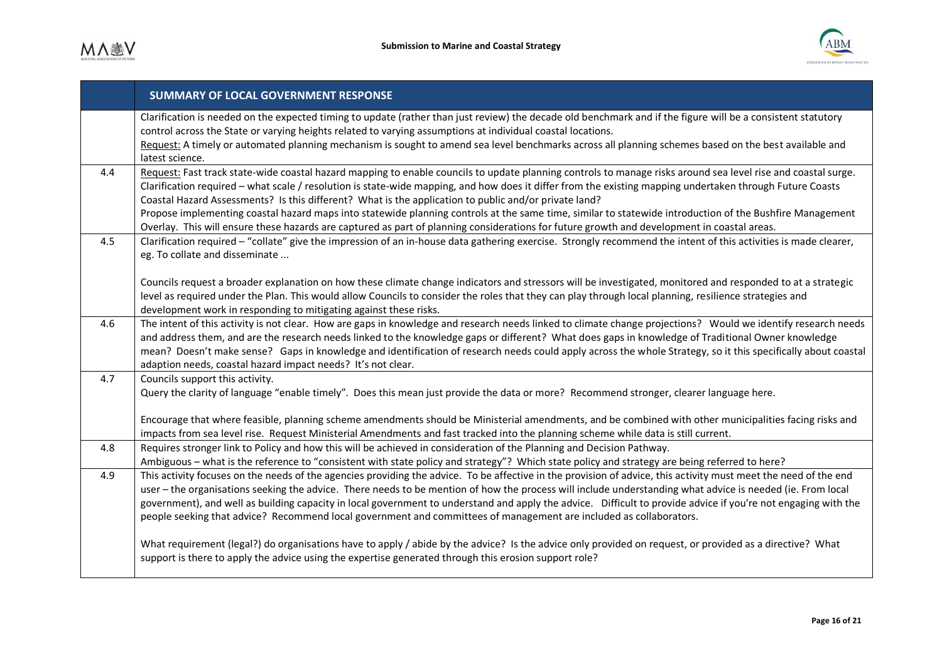

|     | <b>SUMMARY OF LOCAL GOVERNMENT RESPONSE</b>                                                                                                                                                                                                                                                                                                                                                                                                                                                                                                                                                                                                                                                                                                                                                                                                                                                 |
|-----|---------------------------------------------------------------------------------------------------------------------------------------------------------------------------------------------------------------------------------------------------------------------------------------------------------------------------------------------------------------------------------------------------------------------------------------------------------------------------------------------------------------------------------------------------------------------------------------------------------------------------------------------------------------------------------------------------------------------------------------------------------------------------------------------------------------------------------------------------------------------------------------------|
|     | Clarification is needed on the expected timing to update (rather than just review) the decade old benchmark and if the figure will be a consistent statutory<br>control across the State or varying heights related to varying assumptions at individual coastal locations.<br>Request: A timely or automated planning mechanism is sought to amend sea level benchmarks across all planning schemes based on the best available and<br>latest science.                                                                                                                                                                                                                                                                                                                                                                                                                                     |
| 4.4 | Request: Fast track state-wide coastal hazard mapping to enable councils to update planning controls to manage risks around sea level rise and coastal surge.<br>Clarification required - what scale / resolution is state-wide mapping, and how does it differ from the existing mapping undertaken through Future Coasts<br>Coastal Hazard Assessments? Is this different? What is the application to public and/or private land?<br>Propose implementing coastal hazard maps into statewide planning controls at the same time, similar to statewide introduction of the Bushfire Management<br>Overlay. This will ensure these hazards are captured as part of planning considerations for future growth and development in coastal areas.                                                                                                                                              |
| 4.5 | Clarification required - "collate" give the impression of an in-house data gathering exercise. Strongly recommend the intent of this activities is made clearer,<br>eg. To collate and disseminate<br>Councils request a broader explanation on how these climate change indicators and stressors will be investigated, monitored and responded to at a strategic<br>level as required under the Plan. This would allow Councils to consider the roles that they can play through local planning, resilience strategies and<br>development work in responding to mitigating against these risks.                                                                                                                                                                                                                                                                                            |
| 4.6 | The intent of this activity is not clear. How are gaps in knowledge and research needs linked to climate change projections? Would we identify research needs<br>and address them, and are the research needs linked to the knowledge gaps or different? What does gaps in knowledge of Traditional Owner knowledge<br>mean? Doesn't make sense? Gaps in knowledge and identification of research needs could apply across the whole Strategy, so it this specifically about coastal<br>adaption needs, coastal hazard impact needs? It's not clear.                                                                                                                                                                                                                                                                                                                                        |
| 4.7 | Councils support this activity.<br>Query the clarity of language "enable timely". Does this mean just provide the data or more? Recommend stronger, clearer language here.<br>Encourage that where feasible, planning scheme amendments should be Ministerial amendments, and be combined with other municipalities facing risks and<br>impacts from sea level rise. Request Ministerial Amendments and fast tracked into the planning scheme while data is still current.                                                                                                                                                                                                                                                                                                                                                                                                                  |
| 4.8 | Requires stronger link to Policy and how this will be achieved in consideration of the Planning and Decision Pathway.<br>Ambiguous - what is the reference to "consistent with state policy and strategy"? Which state policy and strategy are being referred to here?                                                                                                                                                                                                                                                                                                                                                                                                                                                                                                                                                                                                                      |
| 4.9 | This activity focuses on the needs of the agencies providing the advice. To be affective in the provision of advice, this activity must meet the need of the end<br>user – the organisations seeking the advice. There needs to be mention of how the process will include understanding what advice is needed (ie. From local<br>government), and well as building capacity in local government to understand and apply the advice. Difficult to provide advice if you're not engaging with the<br>people seeking that advice? Recommend local government and committees of management are included as collaborators.<br>What requirement (legal?) do organisations have to apply / abide by the advice? Is the advice only provided on request, or provided as a directive? What<br>support is there to apply the advice using the expertise generated through this erosion support role? |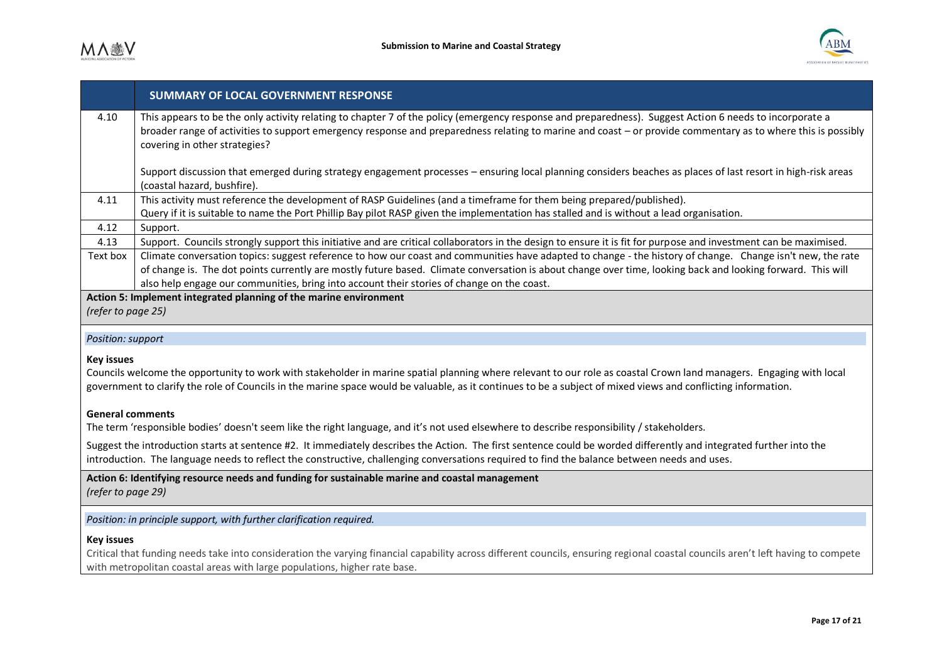

|                                                                                                                                                                                                                                                                                                                                                           | <b>SUMMARY OF LOCAL GOVERNMENT RESPONSE</b>                                                                                                                                                                                                                                                                                                                                                                             |
|-----------------------------------------------------------------------------------------------------------------------------------------------------------------------------------------------------------------------------------------------------------------------------------------------------------------------------------------------------------|-------------------------------------------------------------------------------------------------------------------------------------------------------------------------------------------------------------------------------------------------------------------------------------------------------------------------------------------------------------------------------------------------------------------------|
| 4.10                                                                                                                                                                                                                                                                                                                                                      | This appears to be the only activity relating to chapter 7 of the policy (emergency response and preparedness). Suggest Action 6 needs to incorporate a<br>broader range of activities to support emergency response and preparedness relating to marine and coast – or provide commentary as to where this is possibly<br>covering in other strategies?                                                                |
|                                                                                                                                                                                                                                                                                                                                                           | Support discussion that emerged during strategy engagement processes - ensuring local planning considers beaches as places of last resort in high-risk areas<br>(coastal hazard, bushfire).                                                                                                                                                                                                                             |
| 4.11                                                                                                                                                                                                                                                                                                                                                      | This activity must reference the development of RASP Guidelines (and a timeframe for them being prepared/published).<br>Query if it is suitable to name the Port Phillip Bay pilot RASP given the implementation has stalled and is without a lead organisation.                                                                                                                                                        |
| 4.12                                                                                                                                                                                                                                                                                                                                                      | Support.                                                                                                                                                                                                                                                                                                                                                                                                                |
| 4.13                                                                                                                                                                                                                                                                                                                                                      | Support. Councils strongly support this initiative and are critical collaborators in the design to ensure it is fit for purpose and investment can be maximised.                                                                                                                                                                                                                                                        |
| Text box                                                                                                                                                                                                                                                                                                                                                  | Climate conversation topics: suggest reference to how our coast and communities have adapted to change - the history of change. Change isn't new, the rate<br>of change is. The dot points currently are mostly future based. Climate conversation is about change over time, looking back and looking forward. This will<br>also help engage our communities, bring into account their stories of change on the coast. |
|                                                                                                                                                                                                                                                                                                                                                           | Action 5: Implement integrated planning of the marine environment                                                                                                                                                                                                                                                                                                                                                       |
| (refer to page 25)                                                                                                                                                                                                                                                                                                                                        |                                                                                                                                                                                                                                                                                                                                                                                                                         |
| Position: support                                                                                                                                                                                                                                                                                                                                         |                                                                                                                                                                                                                                                                                                                                                                                                                         |
| <b>Key issues</b><br>Councils welcome the opportunity to work with stakeholder in marine spatial planning where relevant to our role as coastal Crown land managers. Engaging with local<br>government to clarify the role of Councils in the marine space would be valuable, as it continues to be a subject of mixed views and conflicting information. |                                                                                                                                                                                                                                                                                                                                                                                                                         |
| <b>General comments</b><br>The term 'responsible bodies' doesn't seem like the right language, and it's not used elsewhere to describe responsibility / stakeholders.                                                                                                                                                                                     |                                                                                                                                                                                                                                                                                                                                                                                                                         |
| Suggest the introduction starts at sentence #2. It immediately describes the Action. The first sentence could be worded differently and integrated further into the<br>introduction. The language needs to reflect the constructive, challenging conversations required to find the balance between needs and uses.                                       |                                                                                                                                                                                                                                                                                                                                                                                                                         |
| Action 6: Identifying resource needs and funding for sustainable marine and coastal management<br>(refer to page 29)                                                                                                                                                                                                                                      |                                                                                                                                                                                                                                                                                                                                                                                                                         |
| Position: in principle support, with further clarification required.                                                                                                                                                                                                                                                                                      |                                                                                                                                                                                                                                                                                                                                                                                                                         |
| <b>Key issues</b><br>Critical that funding noods to be into consideration the vanying financial conobility occase different equals approximate accordage to logural example around that hours to compat                                                                                                                                                   |                                                                                                                                                                                                                                                                                                                                                                                                                         |

Critical that funding needs take into consideration the varying financial capability across different councils, ensuring regional coastal councils aren't left having to compete with metropolitan coastal areas with large populations, higher rate base.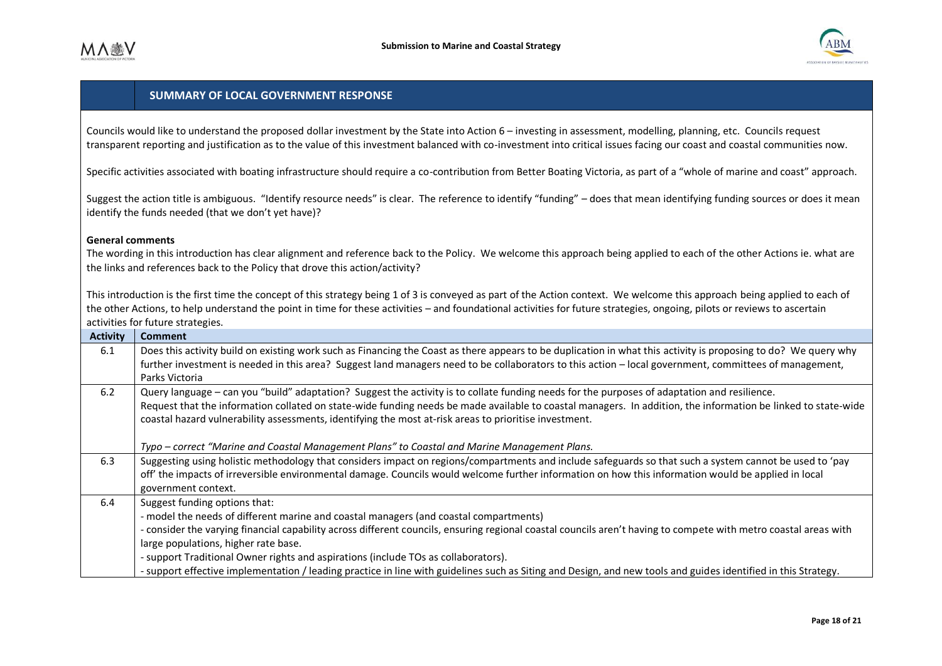

Councils would like to understand the proposed dollar investment by the State into Action 6 – investing in assessment, modelling, planning, etc. Councils request transparent reporting and justification as to the value of this investment balanced with co-investment into critical issues facing our coast and coastal communities now.

Specific activities associated with boating infrastructure should require a co-contribution from Better Boating Victoria, as part of a "whole of marine and coast" approach.

Suggest the action title is ambiguous. "Identify resource needs" is clear. The reference to identify "funding" – does that mean identifying funding sources or does it mean identify the funds needed (that we don't yet have)?

#### **General comments**

The wording in this introduction has clear alignment and reference back to the Policy. We welcome this approach being applied to each of the other Actions ie. what are the links and references back to the Policy that drove this action/activity?

This introduction is the first time the concept of this strategy being 1 of 3 is conveyed as part of the Action context. We welcome this approach being applied to each of the other Actions, to help understand the point in time for these activities – and foundational activities for future strategies, ongoing, pilots or reviews to ascertain activities for future strategies.

| <b>Activity</b> | <b>Comment</b>                                                                                                                                                   |
|-----------------|------------------------------------------------------------------------------------------------------------------------------------------------------------------|
| 6.1             | Does this activity build on existing work such as Financing the Coast as there appears to be duplication in what this activity is proposing to do? We query why  |
|                 | further investment is needed in this area? Suggest land managers need to be collaborators to this action - local government, committees of management,           |
|                 | Parks Victoria                                                                                                                                                   |
| 6.2             | Query language - can you "build" adaptation? Suggest the activity is to collate funding needs for the purposes of adaptation and resilience.                     |
|                 | Request that the information collated on state-wide funding needs be made available to coastal managers. In addition, the information be linked to state-wide    |
|                 | coastal hazard vulnerability assessments, identifying the most at-risk areas to prioritise investment.                                                           |
|                 |                                                                                                                                                                  |
|                 | Typo – correct "Marine and Coastal Management Plans" to Coastal and Marine Management Plans.                                                                     |
| 6.3             | Suggesting using holistic methodology that considers impact on regions/compartments and include safeguards so that such a system cannot be used to 'pay          |
|                 | off' the impacts of irreversible environmental damage. Councils would welcome further information on how this information would be applied in local              |
|                 | government context.                                                                                                                                              |
| 6.4             | Suggest funding options that:                                                                                                                                    |
|                 | - model the needs of different marine and coastal managers (and coastal compartments)                                                                            |
|                 | - consider the varying financial capability across different councils, ensuring regional coastal councils aren't having to compete with metro coastal areas with |
|                 | large populations, higher rate base.                                                                                                                             |
|                 | - support Traditional Owner rights and aspirations (include TOs as collaborators).                                                                               |
|                 | - support effective implementation / leading practice in line with guidelines such as Siting and Design, and new tools and guides identified in this Strategy.   |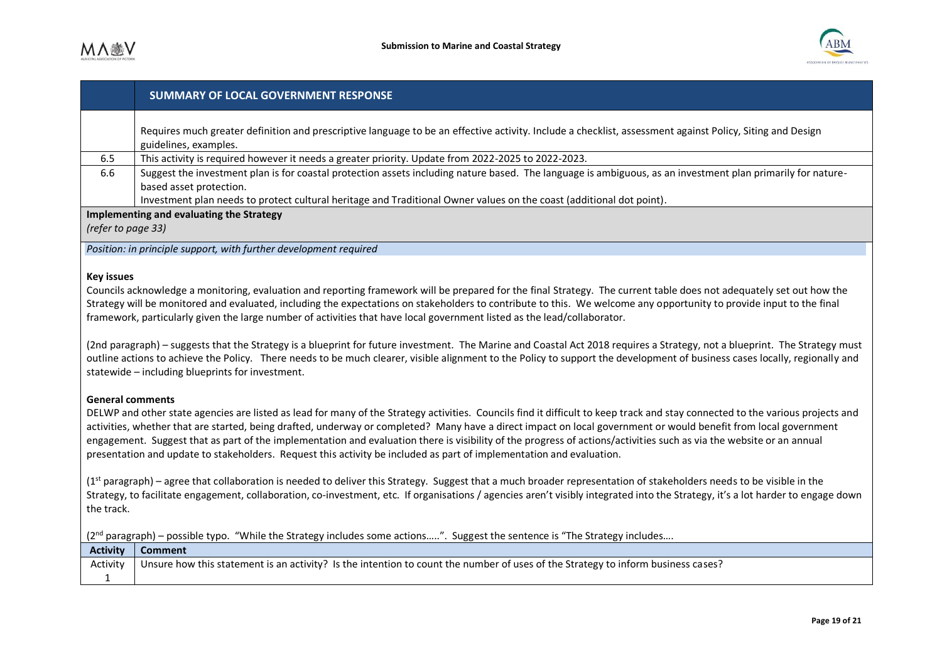

| Requires much greater definition and prescriptive language to be an effective activity. Include a checklist, assessment against Policy, Siting and Design<br>guidelines, examples.<br>This activity is required however it needs a greater priority. Update from 2022-2025 to 2022-2023.<br>6.5<br>Suggest the investment plan is for coastal protection assets including nature based. The language is ambiguous, as an investment plan primarily for nature-<br>6.6<br>based asset protection.<br>Investment plan needs to protect cultural heritage and Traditional Owner values on the coast (additional dot point).<br>Implementing and evaluating the Strategy<br>(refer to page 33)<br>Position: in principle support, with further development required<br><b>Key issues</b><br>Councils acknowledge a monitoring, evaluation and reporting framework will be prepared for the final Strategy. The current table does not adequately set out how the<br>Strategy will be monitored and evaluated, including the expectations on stakeholders to contribute to this. We welcome any opportunity to provide input to the final<br>framework, particularly given the large number of activities that have local government listed as the lead/collaborator.<br>(2nd paragraph) - suggests that the Strategy is a blueprint for future investment. The Marine and Coastal Act 2018 requires a Strategy, not a blueprint. The Strategy must<br>outline actions to achieve the Policy. There needs to be much clearer, visible alignment to the Policy to support the development of business cases locally, regionally and<br>statewide - including blueprints for investment.<br><b>General comments</b><br>DELWP and other state agencies are listed as lead for many of the Strategy activities. Councils find it difficult to keep track and stay connected to the various projects and<br>activities, whether that are started, being drafted, underway or completed? Many have a direct impact on local government or would benefit from local government<br>engagement. Suggest that as part of the implementation and evaluation there is visibility of the progress of actions/activities such as via the website or an annual<br>presentation and update to stakeholders. Request this activity be included as part of implementation and evaluation.<br>(1st paragraph) – agree that collaboration is needed to deliver this Strategy. Suggest that a much broader representation of stakeholders needs to be visible in the<br>Strategy, to facilitate engagement, collaboration, co-investment, etc. If organisations / agencies aren't visibly integrated into the Strategy, it's a lot harder to engage down<br>the track.<br>(2 <sup>nd</sup> paragraph) – possible typo. "While the Strategy includes some actions". Suggest the sentence is "The Strategy includes<br><b>Activity</b><br><b>Comment</b><br>Unsure how this statement is an activity? Is the intention to count the number of uses of the Strategy to inform business cases?<br>Activity<br>$\mathbf{1}$ |  | <b>SUMMARY OF LOCAL GOVERNMENT RESPONSE</b> |  |
|----------------------------------------------------------------------------------------------------------------------------------------------------------------------------------------------------------------------------------------------------------------------------------------------------------------------------------------------------------------------------------------------------------------------------------------------------------------------------------------------------------------------------------------------------------------------------------------------------------------------------------------------------------------------------------------------------------------------------------------------------------------------------------------------------------------------------------------------------------------------------------------------------------------------------------------------------------------------------------------------------------------------------------------------------------------------------------------------------------------------------------------------------------------------------------------------------------------------------------------------------------------------------------------------------------------------------------------------------------------------------------------------------------------------------------------------------------------------------------------------------------------------------------------------------------------------------------------------------------------------------------------------------------------------------------------------------------------------------------------------------------------------------------------------------------------------------------------------------------------------------------------------------------------------------------------------------------------------------------------------------------------------------------------------------------------------------------------------------------------------------------------------------------------------------------------------------------------------------------------------------------------------------------------------------------------------------------------------------------------------------------------------------------------------------------------------------------------------------------------------------------------------------------------------------------------------------------------------------------------------------------------------------------------------------------------------------------------------------------------------------------------------------------------------------------------------------------------------------------------------------------------------------------------------------------------------------------------------------------------------------------------------------------------------------------------------------------------------|--|---------------------------------------------|--|
|                                                                                                                                                                                                                                                                                                                                                                                                                                                                                                                                                                                                                                                                                                                                                                                                                                                                                                                                                                                                                                                                                                                                                                                                                                                                                                                                                                                                                                                                                                                                                                                                                                                                                                                                                                                                                                                                                                                                                                                                                                                                                                                                                                                                                                                                                                                                                                                                                                                                                                                                                                                                                                                                                                                                                                                                                                                                                                                                                                                                                                                                                              |  |                                             |  |
|                                                                                                                                                                                                                                                                                                                                                                                                                                                                                                                                                                                                                                                                                                                                                                                                                                                                                                                                                                                                                                                                                                                                                                                                                                                                                                                                                                                                                                                                                                                                                                                                                                                                                                                                                                                                                                                                                                                                                                                                                                                                                                                                                                                                                                                                                                                                                                                                                                                                                                                                                                                                                                                                                                                                                                                                                                                                                                                                                                                                                                                                                              |  |                                             |  |
|                                                                                                                                                                                                                                                                                                                                                                                                                                                                                                                                                                                                                                                                                                                                                                                                                                                                                                                                                                                                                                                                                                                                                                                                                                                                                                                                                                                                                                                                                                                                                                                                                                                                                                                                                                                                                                                                                                                                                                                                                                                                                                                                                                                                                                                                                                                                                                                                                                                                                                                                                                                                                                                                                                                                                                                                                                                                                                                                                                                                                                                                                              |  |                                             |  |
|                                                                                                                                                                                                                                                                                                                                                                                                                                                                                                                                                                                                                                                                                                                                                                                                                                                                                                                                                                                                                                                                                                                                                                                                                                                                                                                                                                                                                                                                                                                                                                                                                                                                                                                                                                                                                                                                                                                                                                                                                                                                                                                                                                                                                                                                                                                                                                                                                                                                                                                                                                                                                                                                                                                                                                                                                                                                                                                                                                                                                                                                                              |  |                                             |  |
|                                                                                                                                                                                                                                                                                                                                                                                                                                                                                                                                                                                                                                                                                                                                                                                                                                                                                                                                                                                                                                                                                                                                                                                                                                                                                                                                                                                                                                                                                                                                                                                                                                                                                                                                                                                                                                                                                                                                                                                                                                                                                                                                                                                                                                                                                                                                                                                                                                                                                                                                                                                                                                                                                                                                                                                                                                                                                                                                                                                                                                                                                              |  |                                             |  |
|                                                                                                                                                                                                                                                                                                                                                                                                                                                                                                                                                                                                                                                                                                                                                                                                                                                                                                                                                                                                                                                                                                                                                                                                                                                                                                                                                                                                                                                                                                                                                                                                                                                                                                                                                                                                                                                                                                                                                                                                                                                                                                                                                                                                                                                                                                                                                                                                                                                                                                                                                                                                                                                                                                                                                                                                                                                                                                                                                                                                                                                                                              |  |                                             |  |
|                                                                                                                                                                                                                                                                                                                                                                                                                                                                                                                                                                                                                                                                                                                                                                                                                                                                                                                                                                                                                                                                                                                                                                                                                                                                                                                                                                                                                                                                                                                                                                                                                                                                                                                                                                                                                                                                                                                                                                                                                                                                                                                                                                                                                                                                                                                                                                                                                                                                                                                                                                                                                                                                                                                                                                                                                                                                                                                                                                                                                                                                                              |  |                                             |  |
|                                                                                                                                                                                                                                                                                                                                                                                                                                                                                                                                                                                                                                                                                                                                                                                                                                                                                                                                                                                                                                                                                                                                                                                                                                                                                                                                                                                                                                                                                                                                                                                                                                                                                                                                                                                                                                                                                                                                                                                                                                                                                                                                                                                                                                                                                                                                                                                                                                                                                                                                                                                                                                                                                                                                                                                                                                                                                                                                                                                                                                                                                              |  |                                             |  |
|                                                                                                                                                                                                                                                                                                                                                                                                                                                                                                                                                                                                                                                                                                                                                                                                                                                                                                                                                                                                                                                                                                                                                                                                                                                                                                                                                                                                                                                                                                                                                                                                                                                                                                                                                                                                                                                                                                                                                                                                                                                                                                                                                                                                                                                                                                                                                                                                                                                                                                                                                                                                                                                                                                                                                                                                                                                                                                                                                                                                                                                                                              |  |                                             |  |
|                                                                                                                                                                                                                                                                                                                                                                                                                                                                                                                                                                                                                                                                                                                                                                                                                                                                                                                                                                                                                                                                                                                                                                                                                                                                                                                                                                                                                                                                                                                                                                                                                                                                                                                                                                                                                                                                                                                                                                                                                                                                                                                                                                                                                                                                                                                                                                                                                                                                                                                                                                                                                                                                                                                                                                                                                                                                                                                                                                                                                                                                                              |  |                                             |  |
|                                                                                                                                                                                                                                                                                                                                                                                                                                                                                                                                                                                                                                                                                                                                                                                                                                                                                                                                                                                                                                                                                                                                                                                                                                                                                                                                                                                                                                                                                                                                                                                                                                                                                                                                                                                                                                                                                                                                                                                                                                                                                                                                                                                                                                                                                                                                                                                                                                                                                                                                                                                                                                                                                                                                                                                                                                                                                                                                                                                                                                                                                              |  |                                             |  |
|                                                                                                                                                                                                                                                                                                                                                                                                                                                                                                                                                                                                                                                                                                                                                                                                                                                                                                                                                                                                                                                                                                                                                                                                                                                                                                                                                                                                                                                                                                                                                                                                                                                                                                                                                                                                                                                                                                                                                                                                                                                                                                                                                                                                                                                                                                                                                                                                                                                                                                                                                                                                                                                                                                                                                                                                                                                                                                                                                                                                                                                                                              |  |                                             |  |
|                                                                                                                                                                                                                                                                                                                                                                                                                                                                                                                                                                                                                                                                                                                                                                                                                                                                                                                                                                                                                                                                                                                                                                                                                                                                                                                                                                                                                                                                                                                                                                                                                                                                                                                                                                                                                                                                                                                                                                                                                                                                                                                                                                                                                                                                                                                                                                                                                                                                                                                                                                                                                                                                                                                                                                                                                                                                                                                                                                                                                                                                                              |  |                                             |  |
|                                                                                                                                                                                                                                                                                                                                                                                                                                                                                                                                                                                                                                                                                                                                                                                                                                                                                                                                                                                                                                                                                                                                                                                                                                                                                                                                                                                                                                                                                                                                                                                                                                                                                                                                                                                                                                                                                                                                                                                                                                                                                                                                                                                                                                                                                                                                                                                                                                                                                                                                                                                                                                                                                                                                                                                                                                                                                                                                                                                                                                                                                              |  |                                             |  |
|                                                                                                                                                                                                                                                                                                                                                                                                                                                                                                                                                                                                                                                                                                                                                                                                                                                                                                                                                                                                                                                                                                                                                                                                                                                                                                                                                                                                                                                                                                                                                                                                                                                                                                                                                                                                                                                                                                                                                                                                                                                                                                                                                                                                                                                                                                                                                                                                                                                                                                                                                                                                                                                                                                                                                                                                                                                                                                                                                                                                                                                                                              |  |                                             |  |
|                                                                                                                                                                                                                                                                                                                                                                                                                                                                                                                                                                                                                                                                                                                                                                                                                                                                                                                                                                                                                                                                                                                                                                                                                                                                                                                                                                                                                                                                                                                                                                                                                                                                                                                                                                                                                                                                                                                                                                                                                                                                                                                                                                                                                                                                                                                                                                                                                                                                                                                                                                                                                                                                                                                                                                                                                                                                                                                                                                                                                                                                                              |  |                                             |  |
|                                                                                                                                                                                                                                                                                                                                                                                                                                                                                                                                                                                                                                                                                                                                                                                                                                                                                                                                                                                                                                                                                                                                                                                                                                                                                                                                                                                                                                                                                                                                                                                                                                                                                                                                                                                                                                                                                                                                                                                                                                                                                                                                                                                                                                                                                                                                                                                                                                                                                                                                                                                                                                                                                                                                                                                                                                                                                                                                                                                                                                                                                              |  |                                             |  |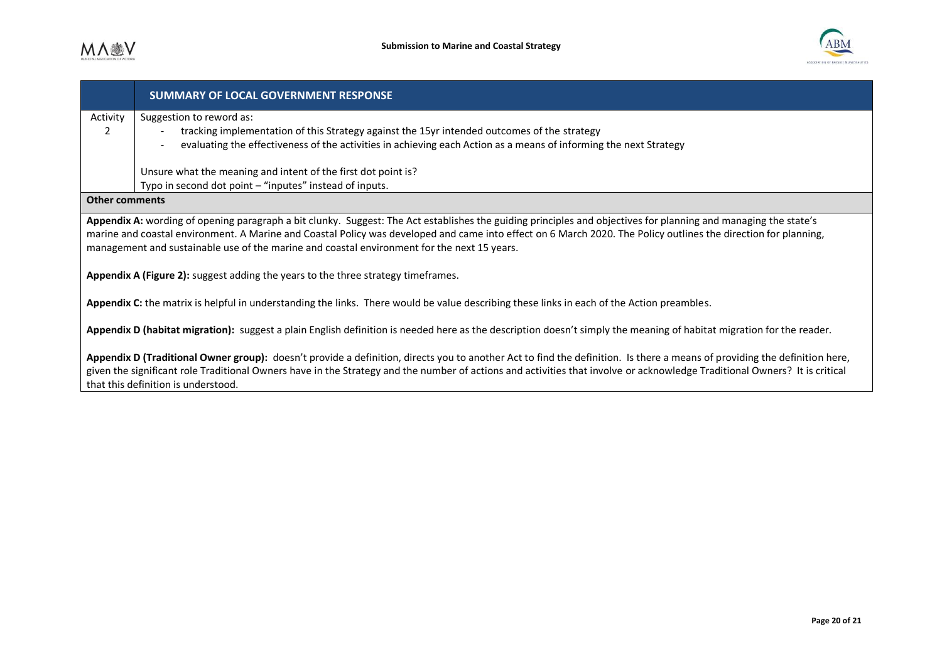

|                                                                                                                                                                                                                                                                                                                                                                                                                                   | <b>SUMMARY OF LOCAL GOVERNMENT RESPONSE</b>                                                                                                                                                                                                                                                                                                                                                    |  |
|-----------------------------------------------------------------------------------------------------------------------------------------------------------------------------------------------------------------------------------------------------------------------------------------------------------------------------------------------------------------------------------------------------------------------------------|------------------------------------------------------------------------------------------------------------------------------------------------------------------------------------------------------------------------------------------------------------------------------------------------------------------------------------------------------------------------------------------------|--|
| Activity                                                                                                                                                                                                                                                                                                                                                                                                                          | Suggestion to reword as:                                                                                                                                                                                                                                                                                                                                                                       |  |
| 2                                                                                                                                                                                                                                                                                                                                                                                                                                 | tracking implementation of this Strategy against the 15yr intended outcomes of the strategy                                                                                                                                                                                                                                                                                                    |  |
|                                                                                                                                                                                                                                                                                                                                                                                                                                   | evaluating the effectiveness of the activities in achieving each Action as a means of informing the next Strategy                                                                                                                                                                                                                                                                              |  |
|                                                                                                                                                                                                                                                                                                                                                                                                                                   | Unsure what the meaning and intent of the first dot point is?                                                                                                                                                                                                                                                                                                                                  |  |
|                                                                                                                                                                                                                                                                                                                                                                                                                                   | Typo in second dot point - "inputes" instead of inputs.                                                                                                                                                                                                                                                                                                                                        |  |
| <b>Other comments</b>                                                                                                                                                                                                                                                                                                                                                                                                             |                                                                                                                                                                                                                                                                                                                                                                                                |  |
| Appendix A: wording of opening paragraph a bit clunky. Suggest: The Act establishes the guiding principles and objectives for planning and managing the state's<br>marine and coastal environment. A Marine and Coastal Policy was developed and came into effect on 6 March 2020. The Policy outlines the direction for planning,<br>management and sustainable use of the marine and coastal environment for the next 15 years. |                                                                                                                                                                                                                                                                                                                                                                                                |  |
| Appendix A (Figure 2): suggest adding the years to the three strategy timeframes.                                                                                                                                                                                                                                                                                                                                                 |                                                                                                                                                                                                                                                                                                                                                                                                |  |
| Appendix C: the matrix is helpful in understanding the links. There would be value describing these links in each of the Action preambles.                                                                                                                                                                                                                                                                                        |                                                                                                                                                                                                                                                                                                                                                                                                |  |
|                                                                                                                                                                                                                                                                                                                                                                                                                                   | Appendix D (habitat migration): suggest a plain English definition is needed here as the description doesn't simply the meaning of habitat migration for the reader.                                                                                                                                                                                                                           |  |
|                                                                                                                                                                                                                                                                                                                                                                                                                                   | Appendix D (Traditional Owner group): doesn't provide a definition, directs you to another Act to find the definition. Is there a means of providing the definition here,<br>given the significant role Traditional Owners have in the Strategy and the number of actions and activities that involve or acknowledge Traditional Owners? It is critical<br>that this definition is understood. |  |